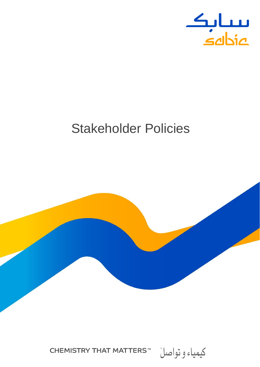

# Stakeholder Policies



**CHEMISTRY THAT MATTERS™** كيمياء و تواصلٌ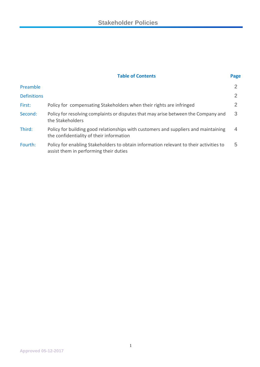| <b>Table of Contents</b> | Page |
|--------------------------|------|
|                          |      |

| Preamble           |                                                                                                                                  |                |
|--------------------|----------------------------------------------------------------------------------------------------------------------------------|----------------|
| <b>Definitions</b> |                                                                                                                                  | $\overline{2}$ |
| First:             | Policy for compensating Stakeholders when their rights are infringed                                                             | 2.             |
| Second:            | Policy for resolving complaints or disputes that may arise between the Company and<br>the Stakeholders                           | 3              |
| Third:             | Policy for building good relationships with customers and suppliers and maintaining<br>the confidentiality of their information  | $\overline{4}$ |
| Fourth:            | Policy for enabling Stakeholders to obtain information relevant to their activities to<br>assist them in performing their duties | 5              |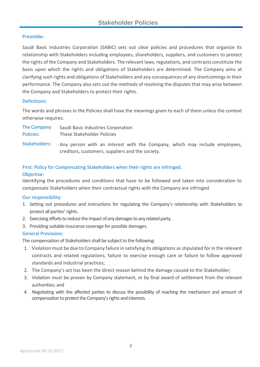#### Preamble:

Saudi Basic Industries Corporation (SABIC) sets out clear policies and procedures that organize its relationship with Stakeholders including employees, shareholders, suppliers, and customers to protect the rights of the Company and Stakeholders. The relevant laws, regulations, and contracts constitute the basis upon which the rights and obligations of Stakeholders are determined. The Company aims at clarifying such rights and obligations of Stakeholders and any consequences of any shortcomings in their performance. The Company also sets out the methods of resolving the disputes that may arise between the Company and Stakeholders to protect their rights.

#### Definitions:

The words and phrases in the Policies shall have the meanings given to each of them unless the context otherwise requires:

| The Company:     | Saudi Basic Industries Corporation |
|------------------|------------------------------------|
| <b>Policies:</b> | These Stakeholder Policies         |

Any person with an interest with the Company, which may include employees, creditors, customers, suppliers and the society. Stakeholders:

## First: Policy for Compensating Stakeholders when their rights are infringed.

#### Objective:

Identifying the procedures and conditions that have to be followed and taken into consideration to compensate Stakeholders when their contractual rights with the Company are infringed.

#### Our responsibility:

- 1. Setting out procedures and instructions for regulating the Company's relationship with Stakeholders to protect all parties' rights.
- 2. Exercising efforts to reduce the impact of any damages to any related party.
- 3. Providing suitable insurance coverage for possible damages.

#### General Provisions:

The compensation of Stakeholders shall be subject to the following:

- 1. Violation must be due to Company failure in satisfying its obligations as stipulated for in the relevant contracts and related regulations, failure to exercise enough care or failure to follow approved standards and industrial practices;
- 2. The Company's act has been the direct reason behind the damage caused to the Stakeholder;
- 3. Violation must be proven by Company statement, or by final award of settlement from the relevant authorities; and
- 4. Negotiating with the affected parties to discuss the possibility of reaching the mechanism and amount of compensation to protect the Company's rights and interests.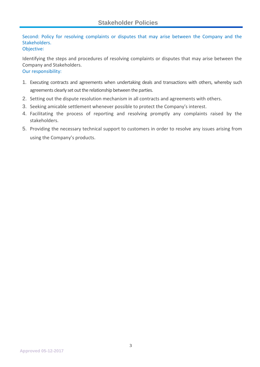Second: Policy for resolving complaints or disputes that may arise between the Company and the Stakeholders.

#### Objective:

Identifying the steps and procedures of resolving complaints or disputes that may arise between the Company and Stakeholders. Our responsibility:

- 
- 1. Executing contracts and agreements when undertaking deals and transactions with others, whereby such agreements clearly set out the relationship between the parties.
- 2. Setting out the dispute resolution mechanism in all contracts and agreements with others.
- 3. Seeking amicable settlement whenever possible to protect the Company's interest.
- 4. Facilitating the process of reporting and resolving promptly any complaints raised by the stakeholders.
- 5. Providing the necessary technical support to customers in order to resolve any issues arising from using the Company's products.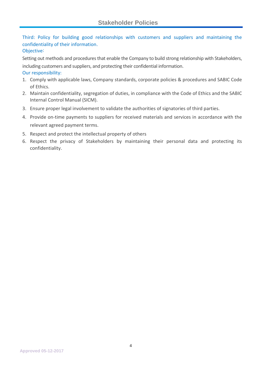Third: Policy for building good relationships with customers and suppliers and maintaining the confidentiality of their information.

### Objective:

Setting out methods and procedures that enable the Company to build strong relationship with Stakeholders, including customers and suppliers, and protecting their confidential information.

#### Our responsibility:

- 1. Comply with applicable laws, Company standards, corporate policies & procedures and SABIC Code of Ethics.
- 2. Maintain confidentiality, segregation of duties, in compliance with the Code of Ethics and the SABIC Internal Control Manual (SICM).
- 3. Ensure proper legal involvement to validate the authorities of signatories of third parties.
- 4. Provide on-time payments to suppliers for received materials and services in accordance with the relevant agreed payment terms.
- 5. Respect and protect the intellectual property of others
- 6. Respect the privacy of Stakeholders by maintaining their personal data and protecting its confidentiality.